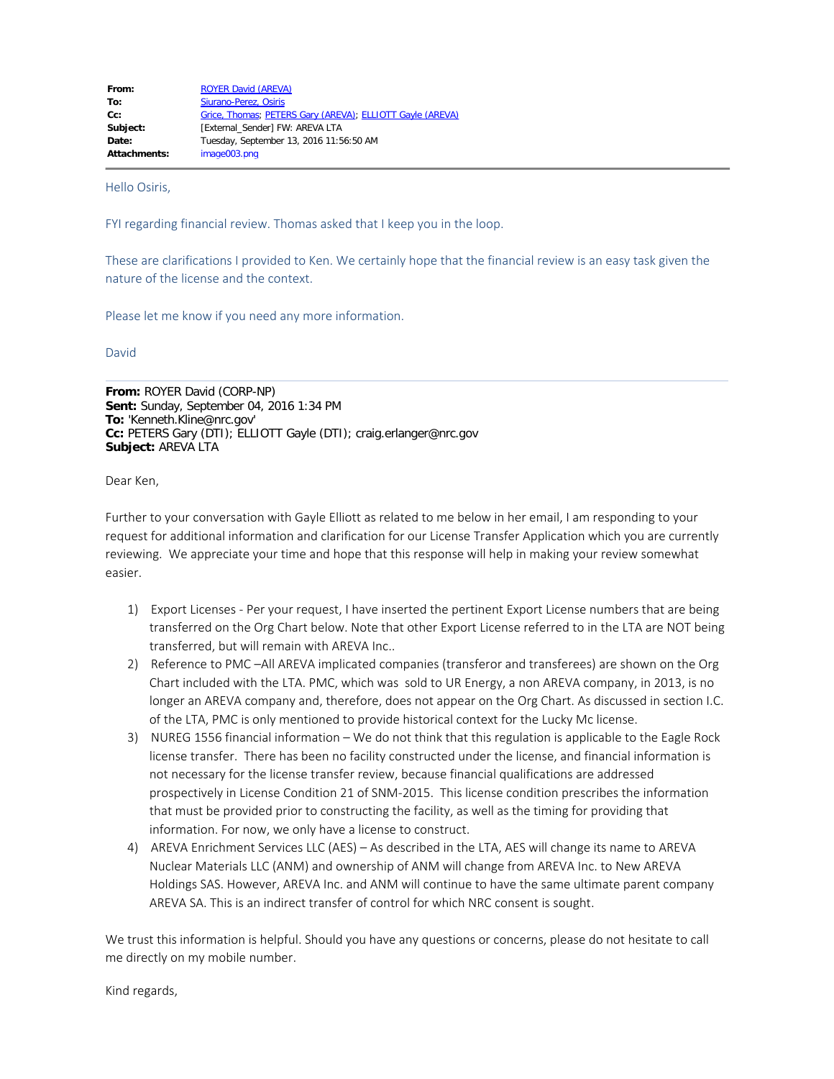| From:               | <b>ROYER David (AREVA)</b>                                |
|---------------------|-----------------------------------------------------------|
| To:                 | Siurano-Perez, Osiris                                     |
| $Cc$ :              | Grice, Thomas; PETERS Gary (AREVA); ELLIOTT Gayle (AREVA) |
| Subject:            | <b>[External Sender] FW: AREVA LTA</b>                    |
| Date:               | Tuesday, September 13, 2016 11:56:50 AM                   |
| <b>Attachments:</b> | image003.png                                              |

Hello Osiris,

FYI regarding financial review. Thomas asked that I keep you in the loop.

These are clarifications I provided to Ken. We certainly hope that the financial review is an easy task given the nature of the license and the context.

Please let me know if you need any more information.

David

**From:** ROYER David (CORP-NP) **Sent:** Sunday, September 04, 2016 1:34 PM **To:** 'Kenneth.Kline@nrc.gov' **Cc:** PETERS Gary (DTI); ELLIOTT Gayle (DTI); craig.erlanger@nrc.gov **Subject:** AREVA LTA

Dear Ken,

Further to your conversation with Gayle Elliott as related to me below in her email, I am responding to your request for additional information and clarification for our License Transfer Application which you are currently reviewing. We appreciate your time and hope that this response will help in making your review somewhat easier.

- 1) Export Licenses Per your request, I have inserted the pertinent Export License numbers that are being transferred on the Org Chart below. Note that other Export License referred to in the LTA are NOT being transferred, but will remain with AREVA Inc..
- 2) Reference to PMC –All AREVA implicated companies (transferor and transferees) are shown on the Org Chart included with the LTA. PMC, which was sold to UR Energy, a non AREVA company, in 2013, is no longer an AREVA company and, therefore, does not appear on the Org Chart. As discussed in section I.C. of the LTA, PMC is only mentioned to provide historical context for the Lucky Mc license.
- 3) NUREG 1556 financial information We do not think that this regulation is applicable to the Eagle Rock license transfer. There has been no facility constructed under the license, and financial information is not necessary for the license transfer review, because financial qualifications are addressed prospectively in License Condition 21 of SNM-2015. This license condition prescribes the information that must be provided prior to constructing the facility, as well as the timing for providing that information. For now, we only have a license to construct.
- 4) AREVA Enrichment Services LLC (AES) As described in the LTA, AES will change its name to AREVA Nuclear Materials LLC (ANM) and ownership of ANM will change from AREVA Inc. to New AREVA Holdings SAS. However, AREVA Inc. and ANM will continue to have the same ultimate parent company AREVA SA. This is an indirect transfer of control for which NRC consent is sought.

We trust this information is helpful. Should you have any questions or concerns, please do not hesitate to call me directly on my mobile number.

Kind regards,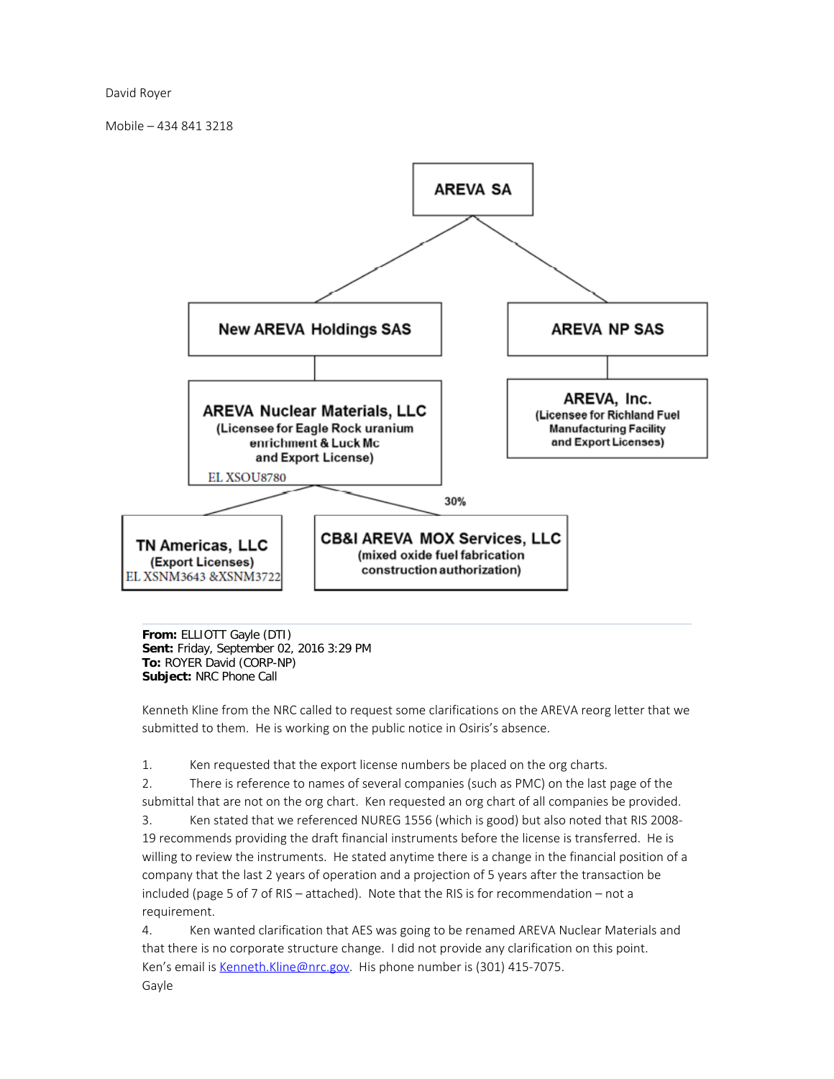David Royer

Mobile – 434 841 3218



**From:** ELLIOTT Gayle (DTI) **Sent:** Friday, September 02, 2016 3:29 PM **To:** ROYER David (CORP-NP) **Subject:** NRC Phone Call

Kenneth Kline from the NRC called to request some clarifications on the AREVA reorg letter that we submitted to them. He is working on the public notice in Osiris's absence.

1. Ken requested that the export license numbers be placed on the org charts.

2. There is reference to names of several companies (such as PMC) on the last page of the submittal that are not on the org chart. Ken requested an org chart of all companies be provided.

3. Ken stated that we referenced NUREG 1556 (which is good) but also noted that RIS 2008- 19 recommends providing the draft financial instruments before the license is transferred. He is willing to review the instruments. He stated anytime there is a change in the financial position of a company that the last 2 years of operation and a projection of 5 years after the transaction be included (page 5 of 7 of RIS – attached). Note that the RIS is for recommendation – not a requirement.

4. Ken wanted clarification that AES was going to be renamed AREVA Nuclear Materials and that there is no corporate structure change. I did not provide any clarification on this point. Ken's email is Kenneth. Kline@nrc.gov. His phone number is (301) 415-7075. Gayle